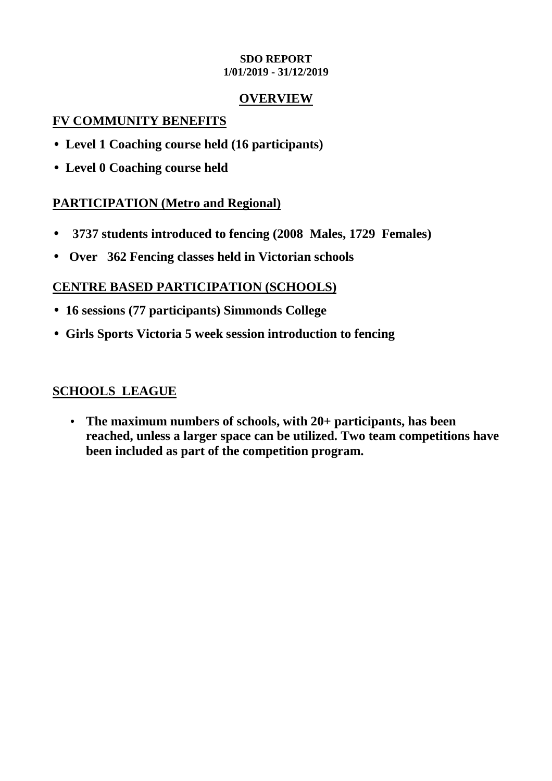## **SDO REPORT 1/01/2019 - 31/12/2019**

## **OVERVIEW**

## **FV COMMUNITY BENEFITS**

- **Level 1 Coaching course held (16 participants)**
- **Level 0 Coaching course held**

# **PARTICIPATION (Metro and Regional)**

- • **3737 students introduced to fencing (2008 Males, 1729 Females)**
- **Over 362 Fencing classes held in Victorian schools**

# **CENTRE BASED PARTICIPATION (SCHOOLS)**

- **16 sessions (77 participants) Simmonds College**
- **Girls Sports Victoria 5 week session introduction to fencing**

# **SCHOOLS LEAGUE**

• **The maximum numbers of schools, with 20+ participants, has been reached, unless a larger space can be utilized. Two team competitions have been included as part of the competition program.**